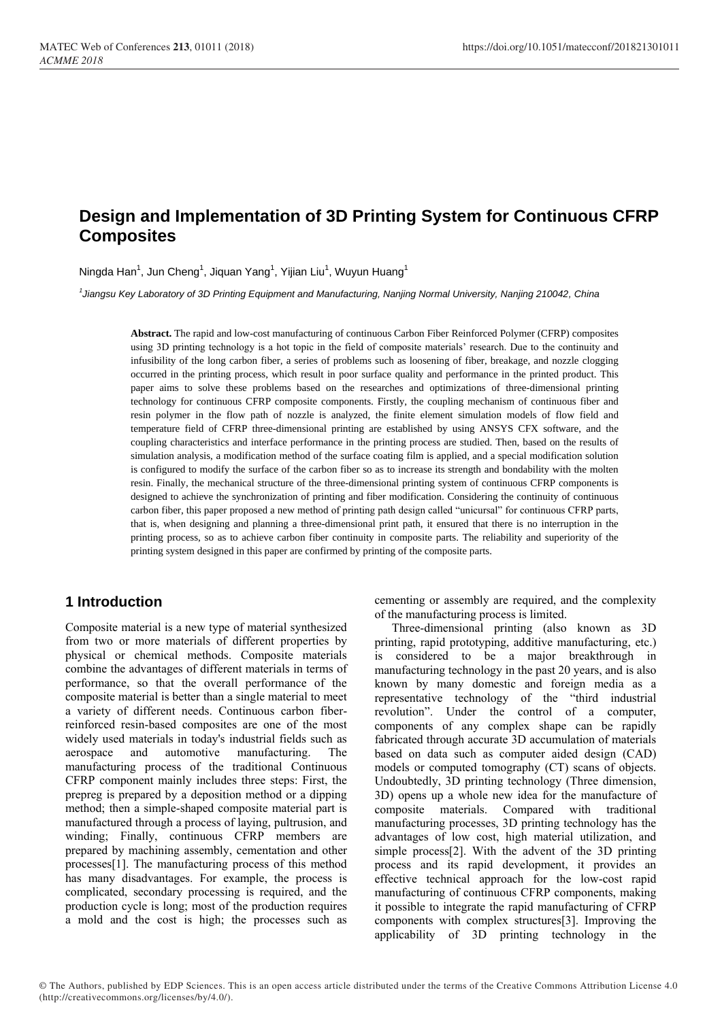# **Design and Implementation of 3D Printing System for Continuous CFRP Composites**

Ningda Han<sup>1</sup>, Jun Cheng<sup>1</sup>, Jiquan Yang<sup>1</sup>, Yijian Liu<sup>1</sup>, Wuyun Huang<sup>1</sup>

*1 Jiangsu Key Laboratory of 3D Printing Equipment and Manufacturing, Nanjing Normal University, Nanjing 210042, China*

**Abstract.** The rapid and low-cost manufacturing of continuous Carbon Fiber Reinforced Polymer (CFRP) composites using 3D printing technology is a hot topic in the field of composite materials' research. Due to the continuity and infusibility of the long carbon fiber, a series of problems such as loosening of fiber, breakage, and nozzle clogging occurred in the printing process, which result in poor surface quality and performance in the printed product. This paper aims to solve these problems based on the researches and optimizations of three-dimensional printing technology for continuous CFRP composite components. Firstly, the coupling mechanism of continuous fiber and resin polymer in the flow path of nozzle is analyzed, the finite element simulation models of flow field and temperature field of CFRP three-dimensional printing are established by using ANSYS CFX software, and the coupling characteristics and interface performance in the printing process are studied. Then, based on the results of simulation analysis, a modification method of the surface coating film is applied, and a special modification solution is configured to modify the surface of the carbon fiber so as to increase its strength and bondability with the molten resin. Finally, the mechanical structure of the three-dimensional printing system of continuous CFRP components is designed to achieve the synchronization of printing and fiber modification. Considering the continuity of continuous carbon fiber, this paper proposed a new method of printing path design called "unicursal" for continuous CFRP parts, that is, when designing and planning a three-dimensional print path, it ensured that there is no interruption in the printing process, so as to achieve carbon fiber continuity in composite parts. The reliability and superiority of the printing system designed in this paper are confirmed by printing of the composite parts.

### **1 Introduction**

Composite material is a new type of material synthesized from two or more materials of different properties by physical or chemical methods. Composite materials combine the advantages of different materials in terms of performance, so that the overall performance of the composite material is better than a single material to meet a variety of different needs. Continuous carbon fiberreinforced resin-based composites are one of the most widely used materials in today's industrial fields such as aerospace and automotive manufacturing. The manufacturing process of the traditional Continuous CFRP component mainly includes three steps: First, the prepreg is prepared by a deposition method or a dipping method; then a simple-shaped composite material part is manufactured through a process of laying, pultrusion, and winding; Finally, continuous CFRP members are prepared by machining assembly, cementation and other processes[1]. The manufacturing process of this method has many disadvantages. For example, the process is complicated, secondary processing is required, and the production cycle is long; most of the production requires a mold and the cost is high; the processes such as

cementing or assembly are required, and the complexity of the manufacturing process is limited.

Three-dimensional printing (also known as 3D printing, rapid prototyping, additive manufacturing, etc.) is considered to be a major breakthrough in manufacturing technology in the past 20 years, and is also known by many domestic and foreign media as a representative technology of the "third industrial revolution". Under the control of a computer, components of any complex shape can be rapidly fabricated through accurate 3D accumulation of materials based on data such as computer aided design (CAD) models or computed tomography (CT) scans of objects. Undoubtedly, 3D printing technology (Three dimension, 3D) opens up a whole new idea for the manufacture of composite materials. Compared with traditional manufacturing processes, 3D printing technology has the advantages of low cost, high material utilization, and simple process[2]. With the advent of the 3D printing process and its rapid development, it provides an effective technical approach for the low-cost rapid manufacturing of continuous CFRP components, making it possible to integrate the rapid manufacturing of CFRP components with complex structures[3]. Improving the applicability of 3D printing technology in the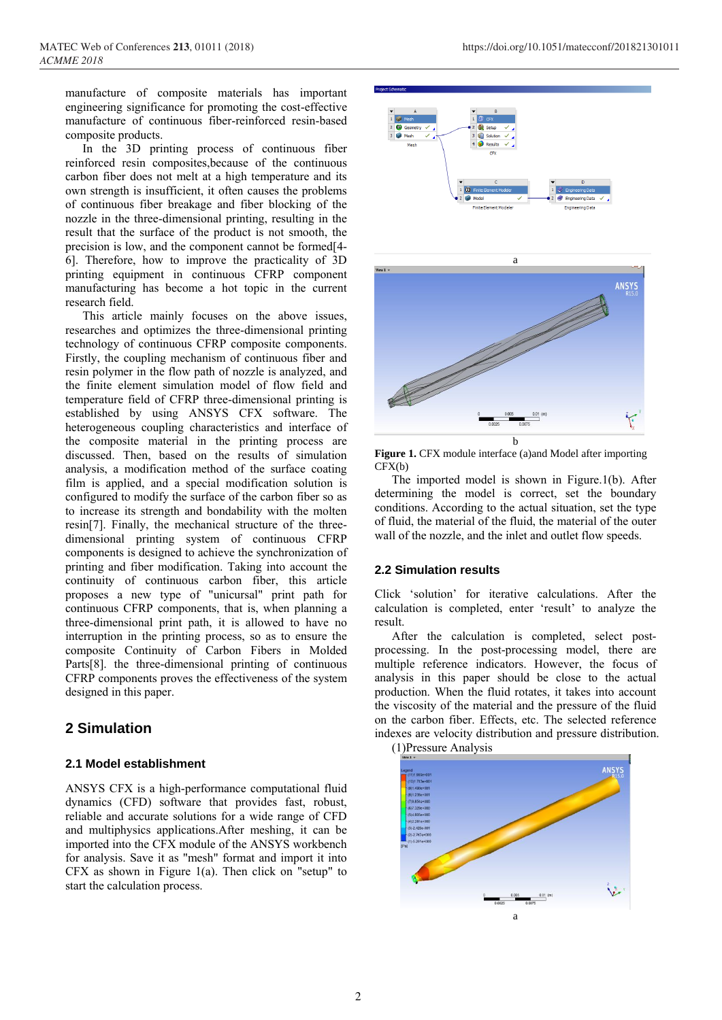manufacture of composite materials has important engineering significance for promoting the cost-effective manufacture of continuous fiber-reinforced resin-based composite products.

In the 3D printing process of continuous fiber reinforced resin composites,because of the continuous carbon fiber does not melt at a high temperature and its own strength is insufficient, it often causes the problems of continuous fiber breakage and fiber blocking of the nozzle in the three-dimensional printing, resulting in the result that the surface of the product is not smooth, the precision is low, and the component cannot be formed[4- 6]. Therefore, how to improve the practicality of 3D printing equipment in continuous CFRP component manufacturing has become a hot topic in the current research field.

This article mainly focuses on the above issues, researches and optimizes the three-dimensional printing technology of continuous CFRP composite components. Firstly, the coupling mechanism of continuous fiber and resin polymer in the flow path of nozzle is analyzed, and the finite element simulation model of flow field and temperature field of CFRP three-dimensional printing is established by using ANSYS CFX software. The heterogeneous coupling characteristics and interface of the composite material in the printing process are discussed. Then, based on the results of simulation analysis, a modification method of the surface coating film is applied, and a special modification solution is configured to modify the surface of the carbon fiber so as to increase its strength and bondability with the molten resin[7]. Finally, the mechanical structure of the threedimensional printing system of continuous CFRP components is designed to achieve the synchronization of printing and fiber modification. Taking into account the continuity of continuous carbon fiber, this article proposes a new type of "unicursal" print path for continuous CFRP components, that is, when planning a three-dimensional print path, it is allowed to have no interruption in the printing process, so as to ensure the composite Continuity of Carbon Fibers in Molded Parts[8]. the three-dimensional printing of continuous CFRP components proves the effectiveness of the system designed in this paper.

# **2 Simulation**

### **2.1 Model establishment**

ANSYS CFX is a high-performance computational fluid dynamics (CFD) software that provides fast, robust, reliable and accurate solutions for a wide range of CFD and multiphysics applications.After meshing, it can be imported into the CFX module of the ANSYS workbench for analysis. Save it as "mesh" format and import it into CFX as shown in Figure 1(a). Then click on "setup" to start the calculation process.





**Figure 1.** CFX module interface (a)and Model after importing CFX(b)

The imported model is shown in Figure.1(b). After determining the model is correct, set the boundary conditions. According to the actual situation, set the type of fluid, the material of the fluid, the material of the outer wall of the nozzle, and the inlet and outlet flow speeds.

#### **2.2 Simulation results**

Click 'solution' for iterative calculations. After the calculation is completed, enter 'result' to analyze the result.

After the calculation is completed, select postprocessing. In the post-processing model, there are multiple reference indicators. However, the focus of analysis in this paper should be close to the actual production. When the fluid rotates, it takes into account the viscosity of the material and the pressure of the fluid on the carbon fiber. Effects, etc. The selected reference indexes are velocity distribution and pressure distribution. (1)Pressure Analysis

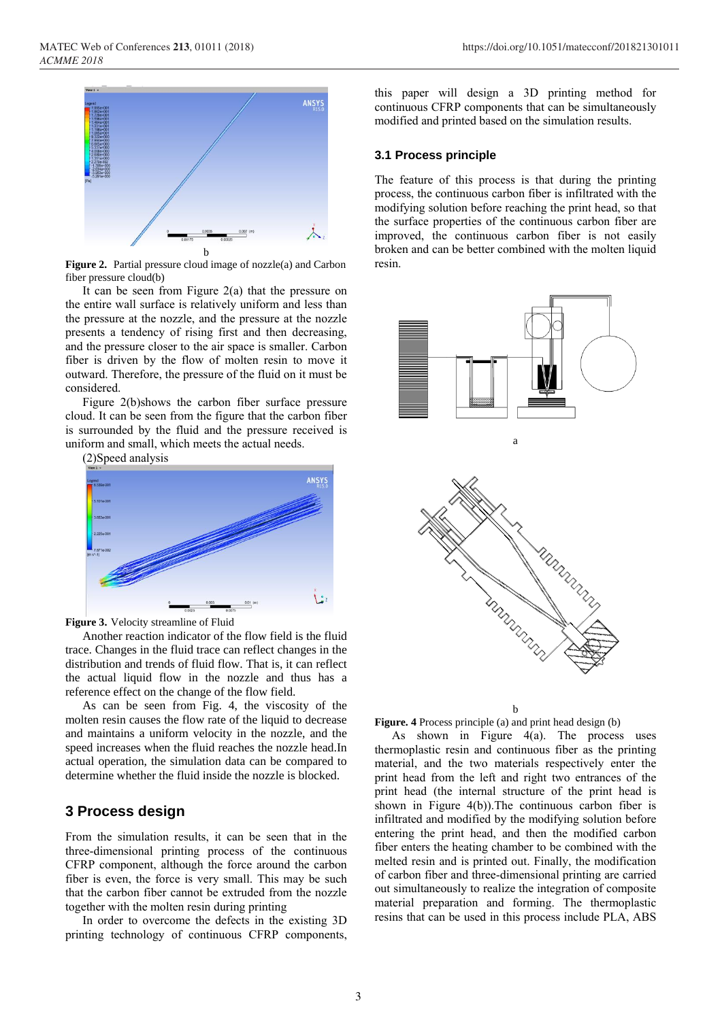

**Figure 2.** Partial pressure cloud image of nozzle(a) and Carbon fiber pressure cloud(b)

It can be seen from Figure  $2(a)$  that the pressure on the entire wall surface is relatively uniform and less than the pressure at the nozzle, and the pressure at the nozzle presents a tendency of rising first and then decreasing, and the pressure closer to the air space is smaller. Carbon fiber is driven by the flow of molten resin to move it outward. Therefore, the pressure of the fluid on it must be considered.

Figure 2(b)shows the carbon fiber surface pressure cloud. It can be seen from the figure that the carbon fiber is surrounded by the fluid and the pressure received is uniform and small, which meets the actual needs.

(2)Speed analysis





Another reaction indicator of the flow field is the fluid trace. Changes in the fluid trace can reflect changes in the distribution and trends of fluid flow. That is, it can reflect the actual liquid flow in the nozzle and thus has a reference effect on the change of the flow field.

As can be seen from Fig. 4, the viscosity of the molten resin causes the flow rate of the liquid to decrease and maintains a uniform velocity in the nozzle, and the speed increases when the fluid reaches the nozzle head.In actual operation, the simulation data can be compared to determine whether the fluid inside the nozzle is blocked.

# **3 Process design**

From the simulation results, it can be seen that in the three-dimensional printing process of the continuous CFRP component, although the force around the carbon fiber is even, the force is very small. This may be such that the carbon fiber cannot be extruded from the nozzle together with the molten resin during printing

In order to overcome the defects in the existing 3D printing technology of continuous CFRP components,

this paper will design a 3D printing method for continuous CFRP components that can be simultaneously modified and printed based on the simulation results.

#### **3.1 Process principle**

The feature of this process is that during the printing process, the continuous carbon fiber is infiltrated with the modifying solution before reaching the print head, so that the surface properties of the continuous carbon fiber are improved, the continuous carbon fiber is not easily broken and can be better combined with the molten liquid resin.



b **Figure. 4** Process principle (a) and print head design (b)

As shown in Figure  $4(a)$ . The process uses thermoplastic resin and continuous fiber as the printing material, and the two materials respectively enter the print head from the left and right two entrances of the print head (the internal structure of the print head is shown in Figure 4(b)).The continuous carbon fiber is infiltrated and modified by the modifying solution before entering the print head, and then the modified carbon fiber enters the heating chamber to be combined with the melted resin and is printed out. Finally, the modification of carbon fiber and three-dimensional printing are carried out simultaneously to realize the integration of composite material preparation and forming. The thermoplastic resins that can be used in this process include PLA, ABS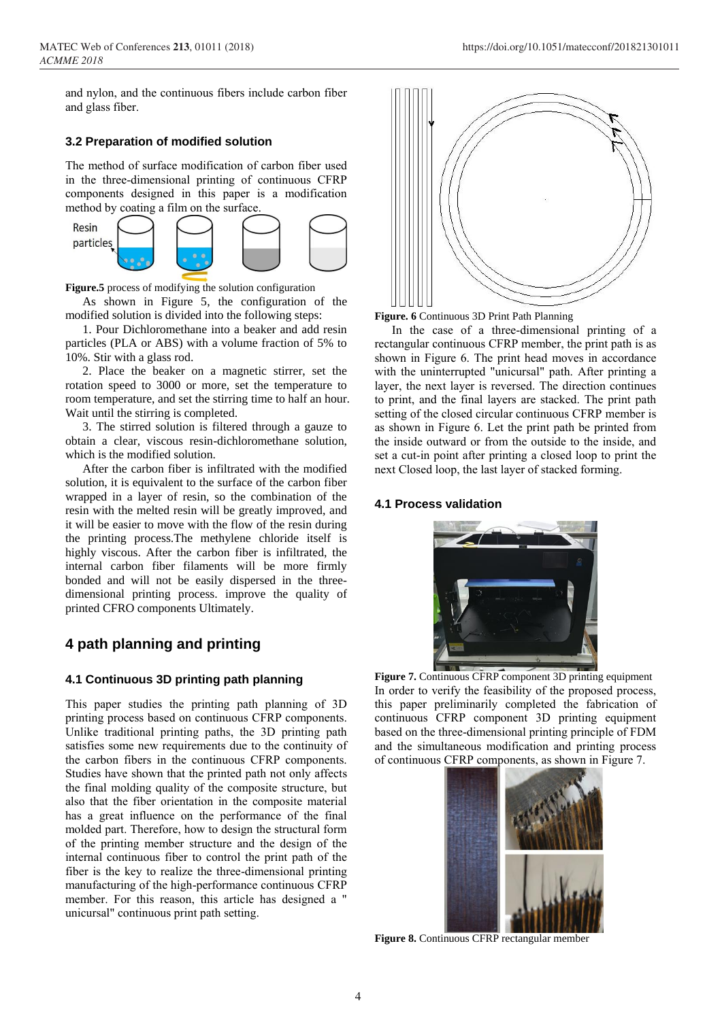and nylon, and the continuous fibers include carbon fiber and glass fiber.

#### **3.2 Preparation of modified solution**

The method of surface modification of carbon fiber used in the three-dimensional printing of continuous CFRP components designed in this paper is a modification method by coating a film on the surface.



**Figure.5** process of modifying the solution configuration

As shown in Figure 5, the configuration of the modified solution is divided into the following steps:

1. Pour Dichloromethane into a beaker and add resin particles (PLA or ABS) with a volume fraction of 5% to 10%. Stir with a glass rod.

2. Place the beaker on a magnetic stirrer, set the rotation speed to 3000 or more, set the temperature to room temperature, and set the stirring time to half an hour. Wait until the stirring is completed.

3. The stirred solution is filtered through a gauze to obtain a clear, viscous resin-dichloromethane solution, which is the modified solution.

After the carbon fiber is infiltrated with the modified solution, it is equivalent to the surface of the carbon fiber wrapped in a layer of resin, so the combination of the resin with the melted resin will be greatly improved, and it will be easier to move with the flow of the resin during the printing process.The methylene chloride itself is highly viscous. After the carbon fiber is infiltrated, the internal carbon fiber filaments will be more firmly bonded and will not be easily dispersed in the threedimensional printing process. improve the quality of printed CFRO components Ultimately.

### **4 path planning and printing**

#### **4.1 Continuous 3D printing path planning**

This paper studies the printing path planning of 3D printing process based on continuous CFRP components. Unlike traditional printing paths, the 3D printing path satisfies some new requirements due to the continuity of the carbon fibers in the continuous CFRP components. Studies have shown that the printed path not only affects the final molding quality of the composite structure, but also that the fiber orientation in the composite material has a great influence on the performance of the final molded part. Therefore, how to design the structural form of the printing member structure and the design of the internal continuous fiber to control the print path of the fiber is the key to realize the three-dimensional printing manufacturing of the high-performance continuous CFRP member. For this reason, this article has designed a " unicursal" continuous print path setting.



**Figure. 6** Continuous 3D Print Path Planning

In the case of a three-dimensional printing of a rectangular continuous CFRP member, the print path is as shown in Figure 6. The print head moves in accordance with the uninterrupted "unicursal" path. After printing a layer, the next layer is reversed. The direction continues to print, and the final layers are stacked. The print path setting of the closed circular continuous CFRP member is as shown in Figure 6. Let the print path be printed from the inside outward or from the outside to the inside, and set a cut-in point after printing a closed loop to print the next Closed loop, the last layer of stacked forming.

#### **4.1 Process validation**



**Figure 7.** Continuous CFRP component 3D printing equipment In order to verify the feasibility of the proposed process, this paper preliminarily completed the fabrication of continuous CFRP component 3D printing equipment based on the three-dimensional printing principle of FDM and the simultaneous modification and printing process of continuous CFRP components, as shown in Figure 7.



**Figure 8.** Continuous CFRP rectangular member